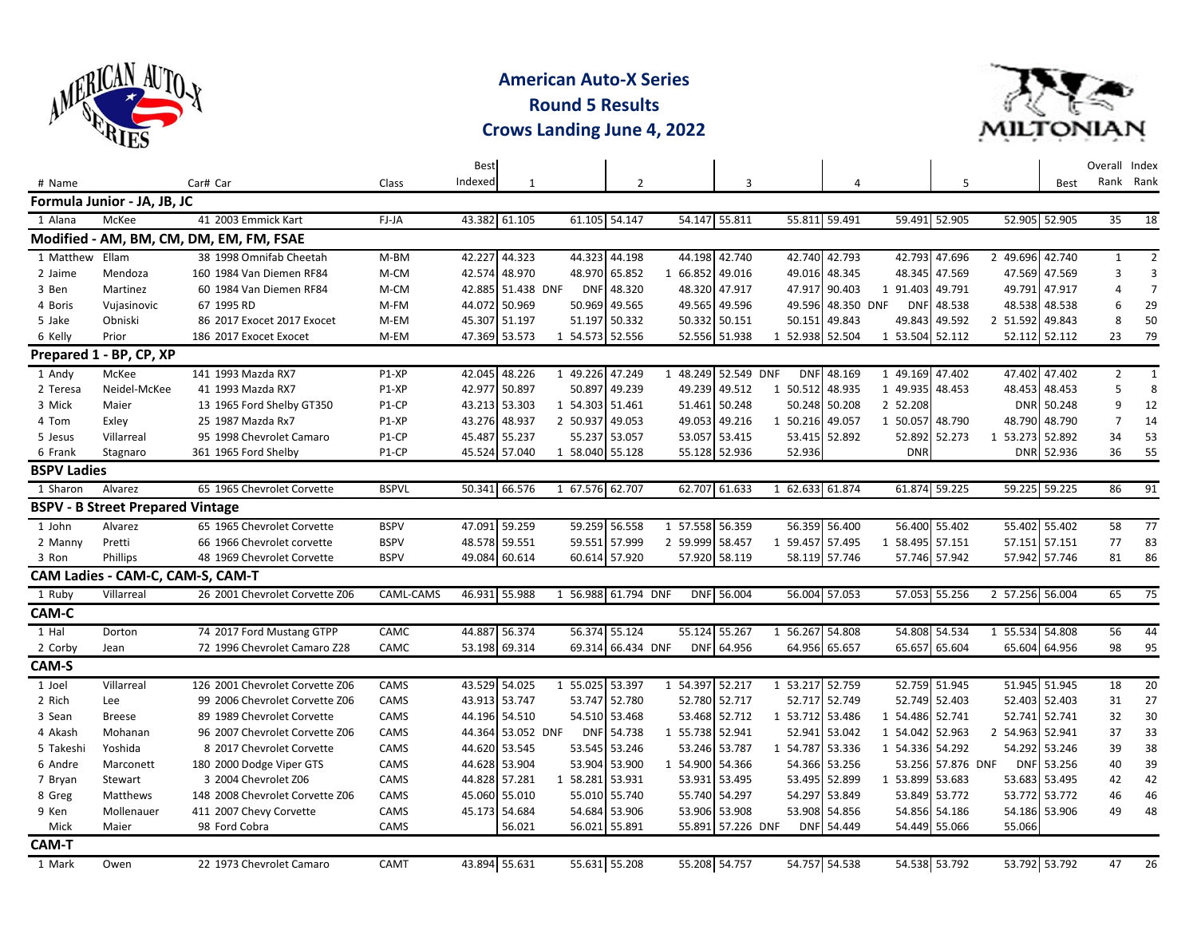

**American Auto-X Series Round 5 Results Crows Landing June 4, 2022**



|                    |                                         |                                         |              | <b>Best</b> |               |                     |                   |                 |                   |                 |               |                 |                   |                 |               | Overall Index  |                |
|--------------------|-----------------------------------------|-----------------------------------------|--------------|-------------|---------------|---------------------|-------------------|-----------------|-------------------|-----------------|---------------|-----------------|-------------------|-----------------|---------------|----------------|----------------|
| # Name             |                                         | Car# Car                                | Class        | Indexed     | 1             |                     | $\overline{2}$    |                 | 3                 |                 | 4             |                 | 5                 |                 | <b>Best</b>   |                | Rank Rank      |
|                    | Formula Junior - JA, JB, JC             |                                         |              |             |               |                     |                   |                 |                   |                 |               |                 |                   |                 |               |                |                |
| 1 Alana            | McKee                                   | 41 2003 Emmick Kart                     | FJ-JA        | 43.382      | 61.105        |                     | 61.105 54.147     |                 | 54.147 55.811     |                 | 55.811 59.491 | 59.491          | 52.905            |                 | 52.905 52.905 | 35             | 18             |
|                    |                                         | Modified - AM, BM, CM, DM, EM, FM, FSAE |              |             |               |                     |                   |                 |                   |                 |               |                 |                   |                 |               |                |                |
| 1 Matthew Ellam    |                                         | 38 1998 Omnifab Cheetah                 | $M-BM$       | 42.227      | 44.323        |                     | 44.323 44.198     |                 | 44.198 42.740     | 42.740          | 42.793        |                 | 42.793 47.696     | 2 49.696 42.740 |               | $\mathbf{1}$   | $\overline{2}$ |
| 2 Jaime            | Mendoza                                 | 160 1984 Van Diemen RF84                | M-CM         | 42.574      | 48.970        |                     | 48.970 65.852     | 1 66.852        | 49.016            | 49.016          | 48.345        | 48.345          | 47.569            | 47.569          | 47.569        | $\overline{3}$ | 3              |
| 3 Ben              | Martinez                                | 60 1984 Van Diemen RF84                 | M-CM         | 42.885      | 51.438 DNF    | <b>DNF</b>          | 48.320            | 48.320          | 47.917            | 47.917          | 90.403        | 1 91.403        | 49.791            | 49.791          | 47.917        | $\overline{a}$ | $\overline{7}$ |
| 4 Boris            | Vujasinovic                             | 67 1995 RD                              | M-FM         | 44.072      | 50.969        |                     | 50.969 49.565     | 49.565          | 49.596            | 49.596          | 48.350 DNF    | <b>DNF</b>      | 48.538            |                 | 48.538 48.538 | 6              | 29             |
| 5 Jake             | Obniski                                 | 86 2017 Exocet 2017 Exocet              | M-EM         | 45.307      | 51.197        |                     | 51.197 50.332     | 50.332          | 50.151            | 50.151          | 49.843        | 49.843          | 49.592            | 2 51.592        | 49.843        | 8              | 50             |
| 6 Kelly            | Prior                                   | 186 2017 Exocet Exocet                  | M-EM         | 47.369      | 53.573        | 1 54.573 52.556     |                   |                 | 52.556 51.938     | 1 52.938        | 52.504        | 1 53.504 52.112 |                   |                 | 52.112 52.112 | 23             | 79             |
|                    | Prepared 1 - BP, CP, XP                 |                                         |              |             |               |                     |                   |                 |                   |                 |               |                 |                   |                 |               |                |                |
| 1 Andy             | McKee                                   | 141 1993 Mazda RX7                      | P1-XP        | 42.045      | 48.226        | 1 49.226 47.249     |                   | 1 48.249        | 52.549 DNF        | <b>DNF</b>      | 48.169        | 1 49.169 47.402 |                   | 47.402          | 47.402        | $\overline{2}$ | $\mathbf{1}$   |
| 2 Teresa           | Neidel-McKee                            | 41 1993 Mazda RX7                       | P1-XP        | 42.977      | 50.897        | 50.897              | 49.239            | 49.239          | 49.512            | 1 50.512        | 48.935        | 1 49.935        | 48.453            | 48.453          | 48.453        | 5              | 8              |
| 3 Mick             | Maier                                   | 13 1965 Ford Shelby GT350               | P1-CP        | 43.213      | 53.303        | 1 54.303 51.461     |                   | 51.461          | 50.248            | 50.248          | 50.208        | 2 52.208        |                   |                 | DNR 50.248    | 9              | 12             |
| 4 Tom              | Exley                                   | 25 1987 Mazda Rx7                       | P1-XP        | 43.276      | 48.937        | 2 50.937            | 49.053            | 49.053          | 49.216            | 1 50.216        | 49.057        | 1 50.057        | 48.790            | 48.790          | 48.790        | $\overline{7}$ | 14             |
| 5 Jesus            | Villarreal                              | 95 1998 Chevrolet Camaro                | P1-CP        | 45.487      | 55.237        |                     | 55.237 53.057     | 53.057          | 53.415            | 53.415          | 52.892        | 52.892          | 52.273            | 1 53.273 52.892 |               | 34             | 53             |
| 6 Frank            | Stagnaro                                | 361 1965 Ford Shelby                    | P1-CP        | 45.524      | 57.040        | 1 58.040 55.128     |                   |                 | 55.128 52.936     | 52.936          |               | <b>DNR</b>      |                   |                 | DNR 52.936    | 36             | 55             |
| <b>BSPV Ladies</b> |                                         |                                         |              |             |               |                     |                   |                 |                   |                 |               |                 |                   |                 |               |                |                |
| 1 Sharon           | Alvarez                                 | 65 1965 Chevrolet Corvette              | <b>BSPVL</b> | 50.341      | 66.576        | 1 67.576 62.707     |                   |                 | 62.707 61.633     | 1 62.633 61.874 |               |                 | 61.874 59.225     |                 | 59.225 59.225 | 86             | 91             |
|                    | <b>BSPV - B Street Prepared Vintage</b> |                                         |              |             |               |                     |                   |                 |                   |                 |               |                 |                   |                 |               |                |                |
| 1 John             | Alvarez                                 | 65 1965 Chevrolet Corvette              | <b>BSPV</b>  | 47.091      | 59.259        |                     | 59.259 56.558     | 1 57.558 56.359 |                   |                 | 56.359 56.400 |                 | 56.400 55.402     |                 | 55.402 55.402 | 58             | 77             |
| 2 Manny            | Pretti                                  | 66 1966 Chevrolet corvette              | <b>BSPV</b>  | 48.578      | 59.551        |                     | 59.551 57.999     | 2 59.999        | 58.457            | 1 59.457        | 57.495        | 1 58.495 57.151 |                   |                 | 57.151 57.151 | 77             | 83             |
| 3 Ron              | Phillips                                | 48 1969 Chevrolet Corvette              | <b>BSPV</b>  | 49.084      | 60.614        |                     | 60.614 57.920     |                 | 57.920 58.119     | 58.119          | 57.746        |                 | 57.746 57.942     |                 | 57.942 57.746 | 81             | 86             |
|                    | CAM Ladies - CAM-C, CAM-S, CAM-T        |                                         |              |             |               |                     |                   |                 |                   |                 |               |                 |                   |                 |               |                |                |
| 1 Ruby             | Villarreal                              | 26 2001 Chevrolet Corvette Z06          | CAML-CAMS    |             | 46.931 55.988 | 1 56.988 61.794 DNF |                   |                 | DNF 56.004        |                 | 56.004 57.053 |                 | 57.053 55.256     | 2 57.256 56.004 |               | 65             | 75             |
| CAM-C              |                                         |                                         |              |             |               |                     |                   |                 |                   |                 |               |                 |                   |                 |               |                |                |
| 1 Hal              | Dorton                                  | 74 2017 Ford Mustang GTPP               | CAMC         | 44.887      | 56.374        | 56.374              | 55.124            | 55.124          | 55.267            | 1 56.267        | 54.808        | 54.808          | 54.534            | 1 55.534        | 54.808        | 56             | 44             |
| 2 Corby            | Jean                                    | 72 1996 Chevrolet Camaro Z28            | CAMC         |             | 53.198 69.314 |                     | 69.314 66.434 DNF |                 | DNF 64.956        |                 | 64.956 65.657 |                 | 65.657 65.604     |                 | 65.604 64.956 | 98             | 95             |
| CAM-S              |                                         |                                         |              |             |               |                     |                   |                 |                   |                 |               |                 |                   |                 |               |                |                |
| 1 Joel             | Villarreal                              | 126 2001 Chevrolet Corvette Z06         | CAMS         | 43.529      | 54.025        | 1 55.025 53.397     |                   | 1 54.397 52.217 |                   | 1 53.217        | 52.759        |                 | 52.759 51.945     |                 | 51.945 51.945 | 18             | 20             |
| 2 Rich             | Lee                                     | 99 2006 Chevrolet Corvette Z06          | CAMS         |             | 43.913 53.747 |                     | 53.747 52.780     |                 | 52.780 52.717     | 52.717          | 52.749        |                 | 52.749 52.403     |                 | 52.403 52.403 | 31             | 27             |
| 3 Sean             | <b>Breese</b>                           | 89 1989 Chevrolet Corvette              | CAMS         | 44.196      | 54.510        |                     | 54.510 53.468     | 53.468          | 52.712            | 1 53.712        | 53.486        | 1 54.486 52.741 |                   | 52.741          | 52.741        | 32             | 30             |
| 4 Akash            | Mohanan                                 | 96 2007 Chevrolet Corvette Z06          | CAMS         | 44.364      | 53.052 DNF    |                     | DNF 54.738        | 1 55.738 52.941 |                   | 52.941          | 53.042        | 1 54.042        | 52.963            | 2 54.963 52.941 |               | 37             | 33             |
| 5 Takeshi          | Yoshida                                 | 8 2017 Chevrolet Corvette               | CAMS         |             | 44.620 53.545 |                     | 53.545 53.246     |                 | 53.246 53.787     | 1 54.787        | 53.336        | 1 54.336 54.292 |                   |                 | 54.292 53.246 | 39             | 38             |
| 6 Andre            | Marconett                               | 180 2000 Dodge Viper GTS                | CAMS         |             | 44.628 53.904 | 53.904              | 53.900            | 1 54.900        | 54.366            | 54.366          | 53.256        |                 | 53.256 57.876 DNF |                 | DNF 53.256    | 40             | 39             |
| 7 Bryan            | Stewart                                 | 3 2004 Chevrolet Z06                    | CAMS         |             | 44.828 57.281 | 1 58.281 53.931     |                   | 53.931          | 53.495            | 53.495          | 52.899        | 1 53.899 53.683 |                   |                 | 53.683 53.495 | 42             | 42             |
| 8 Greg             | Matthews                                | 148 2008 Chevrolet Corvette Z06         | CAMS         | 45.060      | 55.010        |                     | 55.010 55.740     | 55.740          | 54.297            | 54.297          | 53.849        |                 | 53.849 53.772     |                 | 53.772 53.772 | 46             | 46             |
| 9 Ken              | Mollenauer                              | 411 2007 Chevy Corvette                 | CAMS         | 45.173      | 54.684        |                     | 54.684 53.906     |                 | 53.906 53.908     | 53.908          | 54.856        |                 | 54.856 54.186     |                 | 54.186 53.906 | 49             | 48             |
| Mick               | Maier                                   | 98 Ford Cobra                           | CAMS         |             | 56.021        |                     | 56.021 55.891     |                 | 55.891 57.226 DNF |                 | DNF 54.449    |                 | 54.449 55.066     | 55.066          |               |                |                |
| <b>CAM-T</b>       |                                         |                                         |              |             |               |                     |                   |                 |                   |                 |               |                 |                   |                 |               |                |                |
| 1 Mark             | Owen                                    | 22 1973 Chevrolet Camaro                | CAMT         |             | 43.894 55.631 |                     | 55.631 55.208     |                 | 55.208 54.757     |                 | 54.757 54.538 |                 | 54.538 53.792     |                 | 53.792 53.792 | 47             | 26             |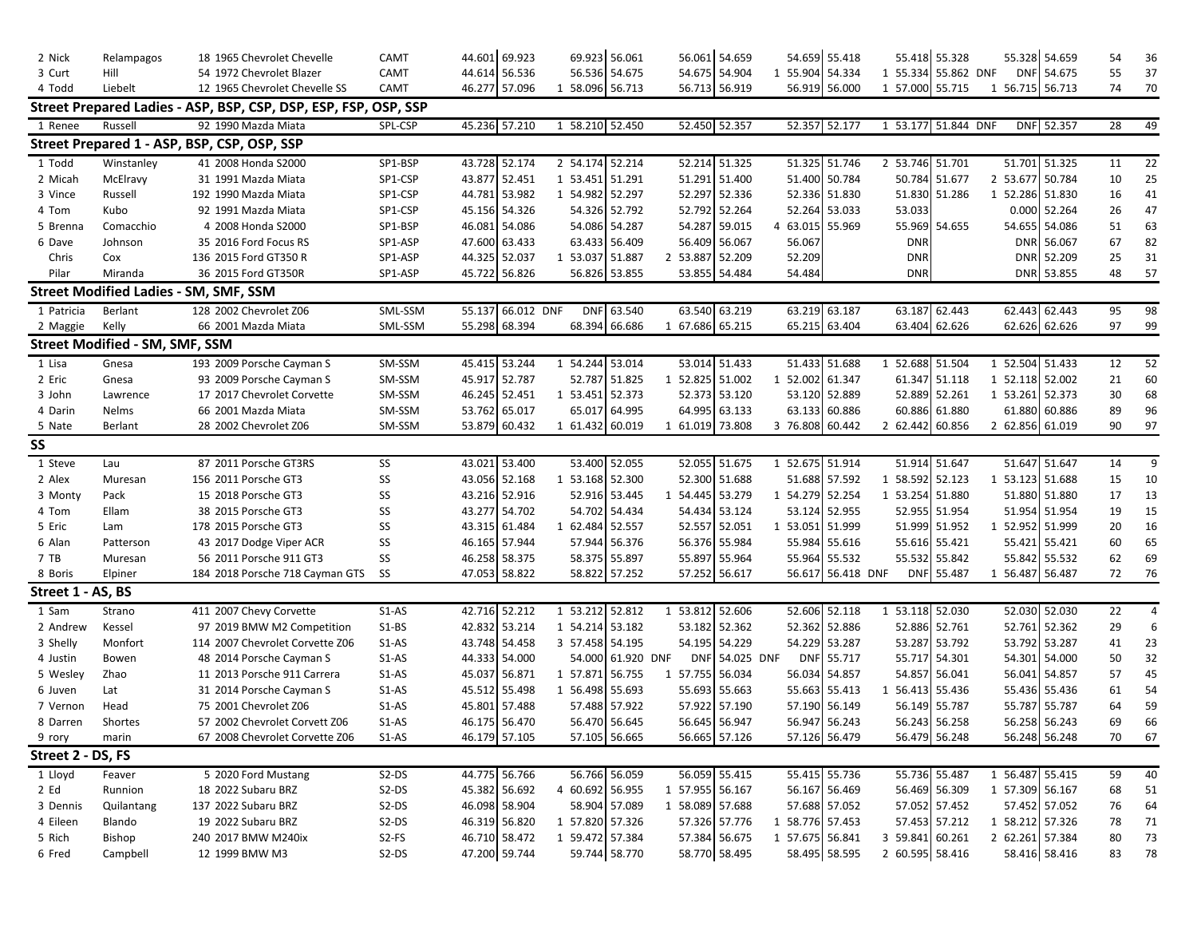| 2 Nick            | Relampagos                            | 18 1965 Chevrolet Chevelle                                      | CAMT    | 44.601 | 69.923            |            | 69.923 56.061   |                 | 56.061 54.659 |                 | 54.659 55.418   | 55.418 55.328       |               |   |        | 55.328 54.659   | 54              | 36 |
|-------------------|---------------------------------------|-----------------------------------------------------------------|---------|--------|-------------------|------------|-----------------|-----------------|---------------|-----------------|-----------------|---------------------|---------------|---|--------|-----------------|-----------------|----|
| 3 Curt            | Hill                                  | 54 1972 Chevrolet Blazer                                        | CAMT    |        | 44.614 56.536     |            | 56.536 54.675   |                 | 54.675 54.904 | 1 55.904 54.334 |                 | 1 55.334            | 55.862 DNF    |   |        | DNF 54.675      | 55              | 37 |
| 4 Todd            | Liebelt                               | 12 1965 Chevrolet Chevelle SS                                   | CAMT    |        | 46.277 57.096     |            | 1 58.096 56.713 |                 | 56.713 56.919 |                 | 56.919 56.000   | 1 57.000            | 55.715        |   |        | 1 56.715 56.713 | 74              | 70 |
|                   |                                       | Street Prepared Ladies - ASP, BSP, CSP, DSP, ESP, FSP, OSP, SSP |         |        |                   |            |                 |                 |               |                 |                 |                     |               |   |        |                 |                 |    |
| 1 Renee           | Russell                               | 92 1990 Mazda Miata                                             | SPL-CSP |        | 45.236 57.210     |            | 1 58.210 52.450 |                 | 52.450 52.357 | 52.357          | 52.177          | 1 53.177 51.844 DNF |               |   |        | DNF 52.357      | $\overline{28}$ | 49 |
|                   |                                       | Street Prepared 1 - ASP, BSP, CSP, OSP, SSP                     |         |        |                   |            |                 |                 |               |                 |                 |                     |               |   |        |                 |                 |    |
| 1 Todd            | Winstanley                            | 41 2008 Honda S2000                                             | SP1-BSP |        | 43.728 52.174     |            | 2 54.174 52.214 |                 | 52.214 51.325 | 51.325          | 51.746          | 2 53.746            | 51.701        |   |        | 51.701 51.325   | 11              | 22 |
| 2 Micah           | McElravy                              | 31 1991 Mazda Miata                                             | SP1-CSP | 43.877 | 52.451            | 1 53.451   | 51.291          |                 | 51.291 51.400 |                 | 51.400 50.784   | 50.784              | 51.677        |   |        | 2 53.677 50.784 | 10              | 25 |
| 3 Vince           | Russell                               | 192 1990 Mazda Miata                                            | SP1-CSP | 44.781 | 53.982            | 1 54.982   | 52.297          | 52.297          | 52.336        |                 | 52.336 51.830   | 51.830              | 51.286        |   |        | 1 52.286 51.830 | 16              | 41 |
| 4 Tom             | Kubo                                  | 92 1991 Mazda Miata                                             | SP1-CSP |        | 45.156 54.326     |            | 54.326 52.792   |                 | 52.792 52.264 |                 | 52.264 53.033   | 53.033              |               |   |        | 0.000 52.264    | 26              | 47 |
| 5 Brenna          | Comacchio                             | 4 2008 Honda S2000                                              | SP1-BSP | 46.081 | 54.086            |            | 54.086 54.287   | 54.287          | 59.015        | 4 63.015        | 55.969          | 55.969              | 54.655        |   |        | 54.655 54.086   | 51              | 63 |
| 6 Dave            | Johnson                               | 35 2016 Ford Focus RS                                           | SP1-ASP |        | 47.600 63.433     |            | 63.433 56.409   | 56.409          | 56.067        | 56.067          |                 | <b>DNR</b>          |               |   |        | DNR 56.067      | 67              | 82 |
| Chris             | Cox                                   | 136 2015 Ford GT350 R                                           | SP1-ASP |        | 44.325 52.037     | 1 53.037   | 51.887          | 2 53.887        | 52.209        | 52.209          |                 | <b>DNR</b>          |               |   |        | DNR 52.209      | 25              | 31 |
| Pilar             | Miranda                               | 36 2015 Ford GT350R                                             | SP1-ASP |        | 45.722 56.826     |            | 56.826 53.855   |                 | 53.855 54.484 | 54.484          |                 | <b>DNR</b>          |               |   |        | DNR 53.855      | 48              | 57 |
|                   |                                       | <b>Street Modified Ladies - SM, SMF, SSM</b>                    |         |        |                   |            |                 |                 |               |                 |                 |                     |               |   |        |                 |                 |    |
| 1 Patricia        | Berlant                               | 128 2002 Chevrolet Z06                                          | SML-SSM |        | 55.137 66.012 DNF | <b>DNF</b> | 63.540          | 63.540          | 63.219        | 63.219          | 63.187          | 63.187              | 62.443        |   |        | 62.443 62.443   | 95              | 98 |
| 2 Maggie          | Kelly                                 | 66 2001 Mazda Miata                                             | SML-SSM |        | 55.298 68.394     | 68.394     | 66.686          | 1 67.686 65.215 |               |                 | 65.215 63.404   | 63.404              | 62.626        |   |        | 62.626 62.626   | 97              | 99 |
|                   | <b>Street Modified - SM, SMF, SSM</b> |                                                                 |         |        |                   |            |                 |                 |               |                 |                 |                     |               |   |        |                 |                 |    |
| 1 Lisa            | Gnesa                                 | 193 2009 Porsche Cayman S                                       | SM-SSM  |        | 45.415 53.244     | 1 54.244   | 53.014          |                 | 53.014 51.433 | 51.433          | 51.688          | 1 52.688            | 51.504        |   |        | 1 52.504 51.433 | 12              | 52 |
| 2 Eric            | Gnesa                                 | 93 2009 Porsche Cayman S                                        | SM-SSM  |        | 45.917 52.787     | 52.787     | 51.825          | 1 52.825        | 51.002        | 1 52.002 61.347 |                 | 61.347              | 51.118        |   |        | 1 52.118 52.002 | 21              | 60 |
| 3 John            | Lawrence                              | 17 2017 Chevrolet Corvette                                      | SM-SSM  |        | 46.245 52.451     | 1 53.451   | 52.373          |                 | 52.373 53.120 |                 | 53.120 52.889   | 52.889              | 52.261        |   |        | 1 53.261 52.373 | 30              | 68 |
| 4 Darin           | Nelms                                 | 66 2001 Mazda Miata                                             | SM-SSM  |        | 53.762 65.017     | 65.017     | 64.995          | 64.995          | 63.133        |                 | 63.133 60.886   | 60.886              | 61.880        |   | 61.880 | 60.886          | 89              | 96 |
| 5 Nate            | Berlant                               | 28 2002 Chevrolet Z06                                           | SM-SSM  |        | 53.879 60.432     | 1 61.432   | 60.019          | 1 61.019 73.808 |               | 3 76.808 60.442 |                 | 2 62.442            | 60.856        |   |        | 2 62.856 61.019 | 90              | 97 |
| SS                |                                       |                                                                 |         |        |                   |            |                 |                 |               |                 |                 |                     |               |   |        |                 |                 |    |
| 1 Steve           | Lau                                   | 87 2011 Porsche GT3RS                                           | SS      |        | 43.021 53.400     |            | 53.400 52.055   |                 | 52.055 51.675 | 1 52.675 51.914 |                 | 51.914 51.647       |               |   |        | 51.647 51.647   | 14              | 9  |
| 2 Alex            | Muresan                               | 156 2011 Porsche GT3                                            | SS      |        | 43.056 52.168     | 1 53.168   | 52.300          |                 | 52.300 51.688 |                 | 51.688 57.592   | 1 58.592            | 52.123        |   |        | 1 53.123 51.688 | 15              | 10 |
| 3 Monty           | Pack                                  | 15 2018 Porsche GT3                                             | SS      |        | 43.216 52.916     |            | 52.916 53.445   | 1 54.445 53.279 |               | 1 54.279 52.254 |                 | 1 53.254            | 51.880        |   |        | 51.880 51.880   | 17              | 13 |
| 4 Tom             | Ellam                                 | 38 2015 Porsche GT3                                             | SS      |        | 43.277 54.702     |            | 54.702 54.434   |                 | 54.434 53.124 |                 | 53.124 52.955   |                     | 52.955 51.954 |   |        | 51.954 51.954   | 19              | 15 |
| 5 Eric            | Lam                                   | 178 2015 Porsche GT3                                            | SS      |        | 43.315 61.484     |            | 1 62.484 52.557 |                 | 52.557 52.051 |                 | 1 53.051 51.999 | 51.999              | 51.952        | 1 |        | 52.952 51.999   | 20              | 16 |
| 6 Alan            | Patterson                             | 43 2017 Dodge Viper ACR                                         | SS      |        | 46.165 57.944     | 57.944     | 56.376          | 56.376          | 55.984        | 55.984          | 55.616          | 55.616              | 55.421        |   |        | 55.421 55.421   | 60              | 65 |
| 7 TB              | Muresan                               | 56 2011 Porsche 911 GT3                                         | SS      |        | 46.258 58.375     |            | 58.375 55.897   | 55.897          | 55.964        | 55.964          | 55.532          | 55.532              | 55.842        |   |        | 55.842 55.532   | 62              | 69 |
| 8 Boris           | Elpiner                               | 184 2018 Porsche 718 Cayman GTS                                 | SS      |        | 47.053 58.822     |            | 58.822 57.252   |                 | 57.252 56.617 | 56.617          | 56.418 DNF      | <b>DNF</b>          | 55.487        |   |        | 1 56.487 56.487 | 72              | 76 |
| Street 1 - AS, BS |                                       |                                                                 |         |        |                   |            |                 |                 |               |                 |                 |                     |               |   |        |                 |                 |    |
| 1 Sam             | Strano                                | 411 2007 Chevy Corvette                                         | $S1-AS$ |        | 42.716 52.212     | 1 53.212   | 52.812          | 1 53.812        | 52.606        |                 | 52.606 52.118   | 1 53.118 52.030     |               |   |        | 52.030 52.030   | 22              | 4  |
| 2 Andrew          | Kessel                                | 97 2019 BMW M2 Competition                                      | S1-BS   |        | 42.832 53.214     |            | 1 54.214 53.182 |                 | 53.182 52.362 |                 | 52.362 52.886   | 52.886              | 52.761        |   |        | 52.761 52.362   | 29              | 6  |
| 3 Shelly          | Monfort                               | 114 2007 Chevrolet Corvette Z06                                 | S1-AS   |        | 43.748 54.458     | 3 57.458   | 54.195          |                 | 54.195 54.229 |                 | 54.229 53.287   | 53.287              | 53.792        |   |        | 53.792 53.287   | 41              | 23 |
| 4 Justin          | Bowen                                 | 48 2014 Porsche Cayman S                                        | S1-AS   |        | 44.333 54.000     | 54.000     | 61.920 DNF      | <b>DNF</b>      | 54.025 DNF    |                 | DNF 55.717      | 55.717              | 54.301        |   |        | 54.301 54.000   | 50              | 32 |
| 5 Wesley          | Zhao                                  | 11 2013 Porsche 911 Carrera                                     | S1-AS   |        | 45.037 56.871     | 1 57.871   | 56.755          | 1 57.755        | 56.034        |                 | 56.034 54.857   | 54.857              | 56.041        |   |        | 56.041 54.857   | 57              | 45 |
| 6 Juven           | Lat                                   | 31 2014 Porsche Cayman S                                        | S1-AS   |        | 45.512 55.498     | 1 56.498   | 55.693          |                 | 55.693 55.663 |                 | 55.663 55.413   | 1 56.413            | 55.436        |   |        | 55.436 55.436   | 61              | 54 |
| 7 Vernon          | Head                                  | 75 2001 Chevrolet Z06                                           | $S1-AS$ | 45.801 | 57.488            | 57.488     | 57.922          |                 | 57.922 57.190 |                 | 57.190 56.149   | 56.149              | 55.787        |   |        | 55.787 55.787   | 64              | 59 |
| 8 Darren          | Shortes                               | 57 2002 Chevrolet Corvett Z06                                   | S1-AS   |        | 46.175 56.470     |            | 56.470 56.645   |                 | 56.645 56.947 |                 | 56.947 56.243   | 56.243              | 56.258        |   |        | 56.258 56.243   | 69              | 66 |
| 9 rory            | marin                                 | 67 2008 Chevrolet Corvette Z06                                  | $S1-AS$ |        | 46.179 57.105     |            | 57.105 56.665   |                 | 56.665 57.126 |                 | 57.126 56.479   |                     | 56.479 56.248 |   |        | 56.248 56.248   | 70              | 67 |
| Street 2 - DS, FS |                                       |                                                                 |         |        |                   |            |                 |                 |               |                 |                 |                     |               |   |        |                 |                 |    |
| 1 Lloyd           | Feaver                                | 5 2020 Ford Mustang                                             | S2-DS   |        | 44.775 56.766     |            | 56.766 56.059   |                 | 56.059 55.415 |                 | 55.415 55.736   | 55.736 55.487       |               |   |        | 1 56.487 55.415 | 59              | 40 |
| 2 Ed              | Runnion                               | 18 2022 Subaru BRZ                                              | $S2-DS$ |        | 45.382 56.692     |            | 4 60.692 56.955 | 1 57.955 56.167 |               |                 | 56.167 56.469   |                     | 56.469 56.309 |   |        | 1 57.309 56.167 | 68              | 51 |
| 3 Dennis          | Quilantang                            | 137 2022 Subaru BRZ                                             | S2-DS   |        | 46.098 58.904     |            | 58.904 57.089   | 1 58.089 57.688 |               |                 | 57.688 57.052   | 57.052 57.452       |               |   |        | 57.452 57.052   | 76              | 64 |
| 4 Eileen          | Blando                                | 19 2022 Subaru BRZ                                              | S2-DS   |        | 46.319 56.820     |            | 1 57.820 57.326 |                 | 57.326 57.776 |                 | 1 58.776 57.453 |                     | 57.453 57.212 |   |        | 1 58.212 57.326 | 78              | 71 |
| 5 Rich            | Bishop                                | 240 2017 BMW M240ix                                             | S2-FS   |        | 46.710 58.472     |            | 1 59.472 57.384 |                 | 57.384 56.675 |                 | 1 57.675 56.841 | 3 59.841 60.261     |               |   |        | 2 62.261 57.384 | 80              | 73 |
| 6 Fred            | Campbell                              | 12 1999 BMW M3                                                  | S2-DS   |        | 47.200 59.744     |            | 59.744 58.770   |                 | 58.770 58.495 |                 | 58.495 58.595   | 2 60.595 58.416     |               |   |        | 58.416 58.416   | 83              | 78 |